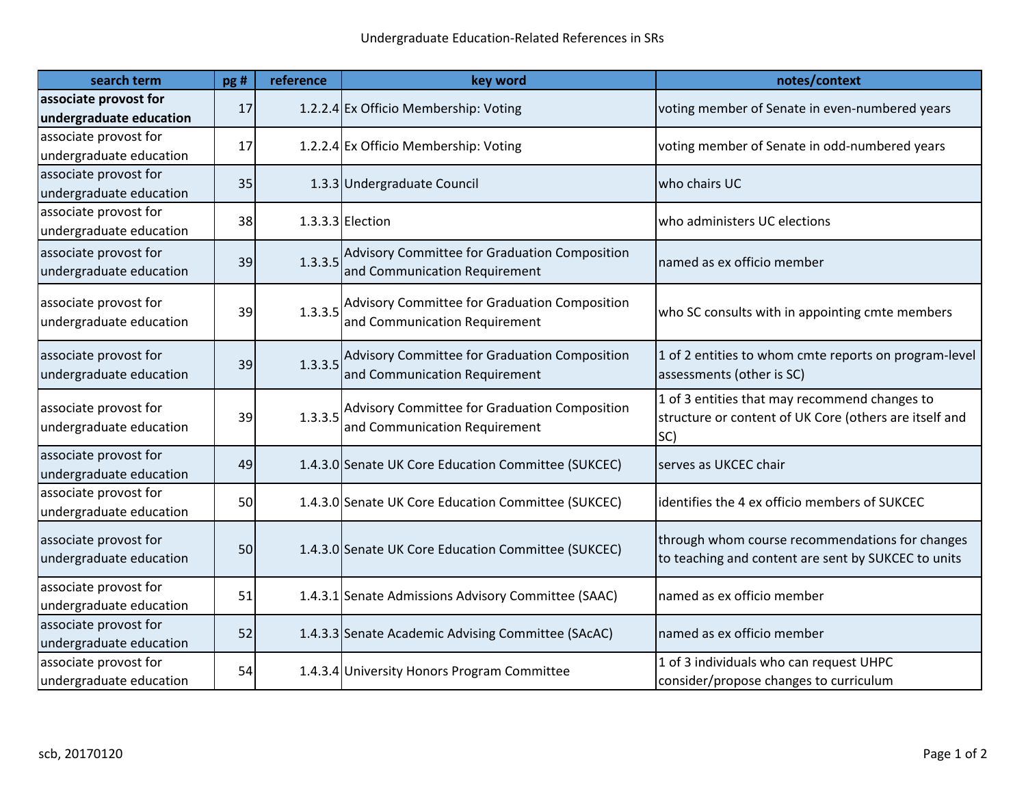| search term                                      | pg# | reference | key word                                                                       | notes/context                                                                                                  |
|--------------------------------------------------|-----|-----------|--------------------------------------------------------------------------------|----------------------------------------------------------------------------------------------------------------|
| associate provost for<br>undergraduate education | 17  |           | 1.2.2.4 Ex Officio Membership: Voting                                          | voting member of Senate in even-numbered years                                                                 |
| associate provost for<br>undergraduate education | 17  |           | 1.2.2.4 Ex Officio Membership: Voting                                          | voting member of Senate in odd-numbered years                                                                  |
| associate provost for<br>undergraduate education | 35  |           | 1.3.3 Undergraduate Council                                                    | who chairs UC                                                                                                  |
| associate provost for<br>undergraduate education | 38  |           | $1.3.3.3$ Election                                                             | who administers UC elections                                                                                   |
| associate provost for<br>undergraduate education | 39  | 1.3.3.5   | Advisory Committee for Graduation Composition<br>and Communication Requirement | named as ex officio member                                                                                     |
| associate provost for<br>undergraduate education | 39  | 1.3.3.5   | Advisory Committee for Graduation Composition<br>and Communication Requirement | who SC consults with in appointing cmte members                                                                |
| associate provost for<br>undergraduate education | 39  | 1.3.3.5   | Advisory Committee for Graduation Composition<br>and Communication Requirement | 1 of 2 entities to whom cmte reports on program-level<br>assessments (other is SC)                             |
| associate provost for<br>undergraduate education | 39  | 1.3.3.5   | Advisory Committee for Graduation Composition<br>and Communication Requirement | 1 of 3 entities that may recommend changes to<br>structure or content of UK Core (others are itself and<br>SC) |
| associate provost for<br>undergraduate education | 49  |           | 1.4.3.0 Senate UK Core Education Committee (SUKCEC)                            | serves as UKCEC chair                                                                                          |
| associate provost for<br>undergraduate education | 50  |           | 1.4.3.0 Senate UK Core Education Committee (SUKCEC)                            | identifies the 4 ex officio members of SUKCEC                                                                  |
| associate provost for<br>undergraduate education | 50  |           | 1.4.3.0 Senate UK Core Education Committee (SUKCEC)                            | through whom course recommendations for changes<br>to teaching and content are sent by SUKCEC to units         |
| associate provost for<br>undergraduate education | 51  |           | 1.4.3.1 Senate Admissions Advisory Committee (SAAC)                            | named as ex officio member                                                                                     |
| associate provost for<br>undergraduate education | 52  |           | 1.4.3.3 Senate Academic Advising Committee (SAcAC)                             | named as ex officio member                                                                                     |
| associate provost for<br>undergraduate education | 54  |           | 1.4.3.4 University Honors Program Committee                                    | 1 of 3 individuals who can request UHPC<br>consider/propose changes to curriculum                              |